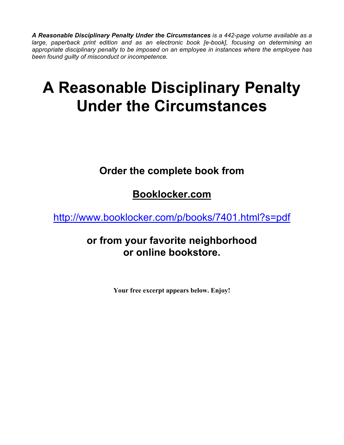*A Reasonable Disciplinary Penalty Under the Circumstances is a 442-page volume available as a large, paperback print edition and as an electronic book [e-book], focusing on determining an appropriate disciplinary penalty to be imposed on an employee in instances where the employee has been found guilty of misconduct or incompetence.*

# **A Reasonable Disciplinary Penalty Under the Circumstances**

## **Order the complete book from**

## **Booklocker.com**

http://www.booklocker.com/p/books/7401.html?s=pdf

#### **or from your favorite neighborhood or online bookstore.**

**Your free excerpt appears below. Enjoy!**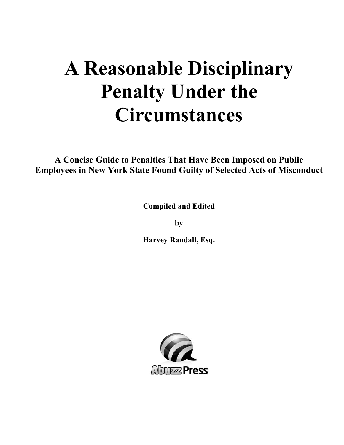# **A Reasonable Disciplinary Penalty Under the Circumstances**

**A Concise Guide to Penalties That Have Been Imposed on Public Employees in New York State Found Guilty of Selected Acts of Misconduct** 

**Compiled and Edited** 

**by** 

**Harvey Randall, Esq.** 

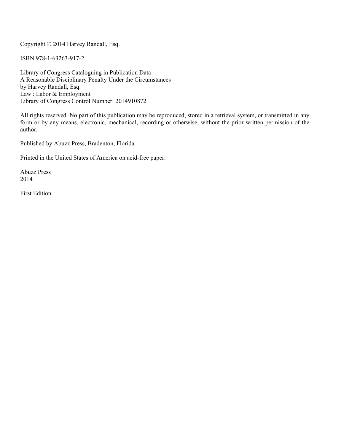Copyright © 2014 Harvey Randall, Esq.

ISBN 978-1-63263-917-2

Library of Congress Cataloguing in Publication Data A Reasonable Disciplinary Penalty Under the Circumstances by Harvey Randall, Esq. Law : Labor & Employment Library of Congress Control Number: 2014910872

All rights reserved. No part of this publication may be reproduced, stored in a retrieval system, or transmitted in any form or by any means, electronic, mechanical, recording or otherwise, without the prior written permission of the author.

Published by Abuzz Press, Bradenton, Florida.

Printed in the United States of America on acid-free paper.

Abuzz Press 2014

First Edition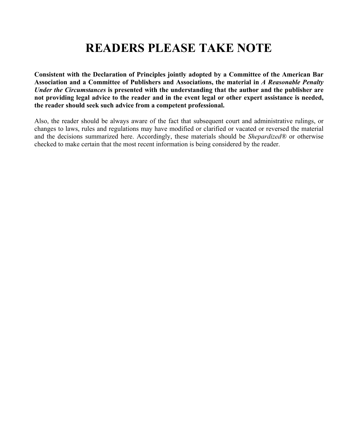## **READERS PLEASE TAKE NOTE**

**Consistent with the Declaration of Principles jointly adopted by a Committee of the American Bar Association and a Committee of Publishers and Associations, the material in** *A Reasonable Penalty Under the Circumstances* **is presented with the understanding that the author and the publisher are not providing legal advice to the reader and in the event legal or other expert assistance is needed, the reader should seek such advice from a competent professional.** 

Also, the reader should be always aware of the fact that subsequent court and administrative rulings, or changes to laws, rules and regulations may have modified or clarified or vacated or reversed the material and the decisions summarized here. Accordingly, these materials should be *Shepardized®* or otherwise checked to make certain that the most recent information is being considered by the reader.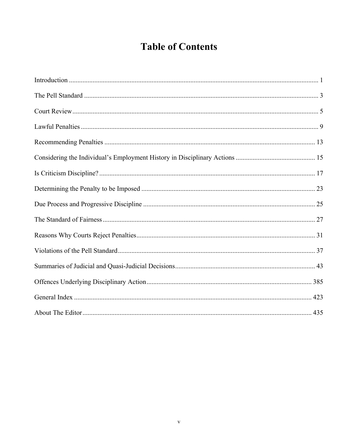## **Table of Contents**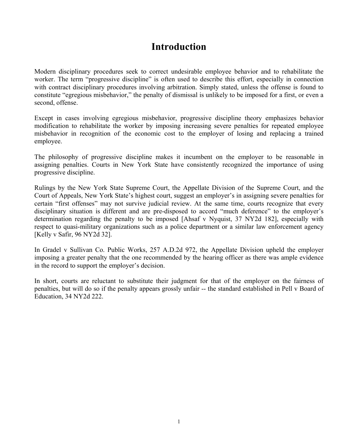#### **Introduction**

Modern disciplinary procedures seek to correct undesirable employee behavior and to rehabilitate the worker. The term "progressive discipline" is often used to describe this effort, especially in connection with contract disciplinary procedures involving arbitration. Simply stated, unless the offense is found to constitute "egregious misbehavior," the penalty of dismissal is unlikely to be imposed for a first, or even a second, offense.

Except in cases involving egregious misbehavior, progressive discipline theory emphasizes behavior modification to rehabilitate the worker by imposing increasing severe penalties for repeated employee misbehavior in recognition of the economic cost to the employer of losing and replacing a trained employee.

The philosophy of progressive discipline makes it incumbent on the employer to be reasonable in assigning penalties. Courts in New York State have consistently recognized the importance of using progressive discipline.

Rulings by the New York State Supreme Court, the Appellate Division of the Supreme Court, and the Court of Appeals, New York State's highest court, suggest an employer's in assigning severe penalties for certain "first offenses" may not survive judicial review. At the same time, courts recognize that every disciplinary situation is different and are pre-disposed to accord "much deference" to the employer's determination regarding the penalty to be imposed [Ahsaf v Nyquist, 37 NY2d 182], especially with respect to quasi-military organizations such as a police department or a similar law enforcement agency [Kelly v Safir, 96 NY2d 32].

In Gradel v Sullivan Co. Public Works, 257 A.D.2d 972, the Appellate Division upheld the employer imposing a greater penalty that the one recommended by the hearing officer as there was ample evidence in the record to support the employer's decision.

In short, courts are reluctant to substitute their judgment for that of the employer on the fairness of penalties, but will do so if the penalty appears grossly unfair -- the standard established in Pell v Board of Education, 34 NY2d 222.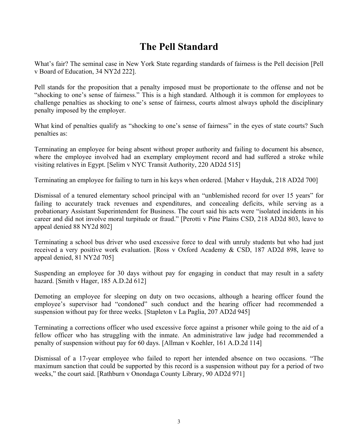#### **The Pell Standard**

What's fair? The seminal case in New York State regarding standards of fairness is the Pell decision [Pell v Board of Education, 34 NY2d 222].

Pell stands for the proposition that a penalty imposed must be proportionate to the offense and not be "shocking to one's sense of fairness." This is a high standard. Although it is common for employees to challenge penalties as shocking to one's sense of fairness, courts almost always uphold the disciplinary penalty imposed by the employer.

What kind of penalties qualify as "shocking to one's sense of fairness" in the eyes of state courts? Such penalties as:

Terminating an employee for being absent without proper authority and failing to document his absence, where the employee involved had an exemplary employment record and had suffered a stroke while visiting relatives in Egypt. [Selim v NYC Transit Authority, 220 AD2d 515]

Terminating an employee for failing to turn in his keys when ordered. [Maher v Hayduk, 218 AD2d 700]

Dismissal of a tenured elementary school principal with an "unblemished record for over 15 years" for failing to accurately track revenues and expenditures, and concealing deficits, while serving as a probationary Assistant Superintendent for Business. The court said his acts were "isolated incidents in his career and did not involve moral turpitude or fraud." [Perotti v Pine Plains CSD, 218 AD2d 803, leave to appeal denied 88 NY2d 802]

Terminating a school bus driver who used excessive force to deal with unruly students but who had just received a very positive work evaluation. [Ross v Oxford Academy & CSD, 187 AD2d 898, leave to appeal denied, 81 NY2d 705]

Suspending an employee for 30 days without pay for engaging in conduct that may result in a safety hazard. [Smith v Hager, 185 A.D.2d 612]

Demoting an employee for sleeping on duty on two occasions, although a hearing officer found the employee's supervisor had "condoned" such conduct and the hearing officer had recommended a suspension without pay for three weeks. [Stapleton v La Paglia, 207 AD2d 945]

Terminating a corrections officer who used excessive force against a prisoner while going to the aid of a fellow officer who has struggling with the inmate. An administrative law judge had recommended a penalty of suspension without pay for 60 days. [Allman v Koehler, 161 A.D.2d 114]

Dismissal of a 17-year employee who failed to report her intended absence on two occasions. "The maximum sanction that could be supported by this record is a suspension without pay for a period of two weeks," the court said. [Rathburn v Onondaga County Library, 90 AD2d 971]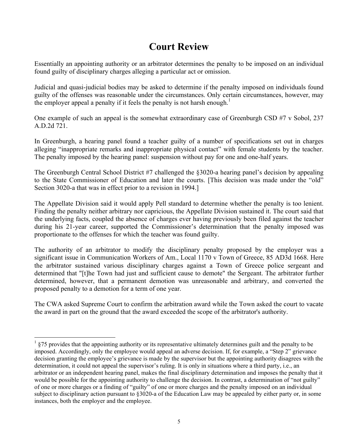#### **Court Review**

Essentially an appointing authority or an arbitrator determines the penalty to be imposed on an individual found guilty of disciplinary charges alleging a particular act or omission.

Judicial and quasi-judicial bodies may be asked to determine if the penalty imposed on individuals found guilty of the offenses was reasonable under the circumstances. Only certain circumstances, however, may the employer appeal a penalty if it feels the penalty is not harsh enough.<sup>1</sup>

One example of such an appeal is the somewhat extraordinary case of Greenburgh CSD #7 v Sobol, 237 A.D.2d 721.

In Greenburgh, a hearing panel found a teacher guilty of a number of specifications set out in charges alleging "inappropriate remarks and inappropriate physical contact" with female students by the teacher. The penalty imposed by the hearing panel: suspension without pay for one and one-half years.

The Greenburgh Central School District #7 challenged the §3020-a hearing panel's decision by appealing to the State Commissioner of Education and later the courts. [This decision was made under the "old" Section 3020-a that was in effect prior to a revision in 1994.]

The Appellate Division said it would apply Pell standard to determine whether the penalty is too lenient. Finding the penalty neither arbitrary nor capricious, the Appellate Division sustained it. The court said that the underlying facts, coupled the absence of charges ever having previously been filed against the teacher during his 21-year career, supported the Commissioner's determination that the penalty imposed was proportionate to the offenses for which the teacher was found guilty.

The authority of an arbitrator to modify the disciplinary penalty proposed by the employer was a significant issue in Communication Workers of Am., Local 1170 v Town of Greece, 85 AD3d 1668. Here the arbitrator sustained various disciplinary charges against a Town of Greece police sergeant and determined that "[t]he Town had just and sufficient cause to demote" the Sergeant. The arbitrator further determined, however, that a permanent demotion was unreasonable and arbitrary, and converted the proposed penalty to a demotion for a term of one year.

The CWA asked Supreme Court to confirm the arbitration award while the Town asked the court to vacate the award in part on the ground that the award exceeded the scope of the arbitrator's authority.

<sup>1</sup> §75 provides that the appointing authority or its representative ultimately determines guilt and the penalty to be imposed. Accordingly, only the employee would appeal an adverse decision. If, for example, a "Step 2" grievance decision granting the employee's grievance is made by the supervisor but the appointing authority disagrees with the determination, it could not appeal the supervisor's ruling. It is only in situations where a third party, i.e., an arbitrator or an independent hearing panel, makes the final disciplinary determination and imposes the penalty that it would be possible for the appointing authority to challenge the decision. In contrast, a determination of "not guilty" of one or more charges or a finding of "guilty" of one or more charges and the penalty imposed on an individual subject to disciplinary action pursuant to §3020-a of the Education Law may be appealed by either party or, in some instances, both the employer and the employee.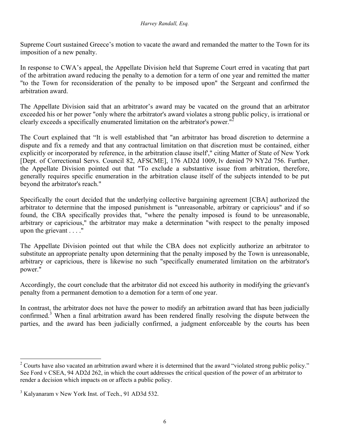Supreme Court sustained Greece's motion to vacate the award and remanded the matter to the Town for its imposition of a new penalty.

In response to CWA's appeal, the Appellate Division held that Supreme Court erred in vacating that part of the arbitration award reducing the penalty to a demotion for a term of one year and remitted the matter "to the Town for reconsideration of the penalty to be imposed upon" the Sergeant and confirmed the arbitration award.

The Appellate Division said that an arbitrator's award may be vacated on the ground that an arbitrator exceeded his or her power "only where the arbitrator's award violates a strong public policy, is irrational or clearly exceeds a specifically enumerated limitation on the arbitrator's power.<sup>"2</sup>

The Court explained that "It is well established that "an arbitrator has broad discretion to determine a dispute and fix a remedy and that any contractual limitation on that discretion must be contained, either explicitly or incorporated by reference, in the arbitration clause itself'," citing Matter of State of New York [Dept. of Correctional Servs. Council 82, AFSCME], 176 AD2d 1009, lv denied 79 NY2d 756. Further, the Appellate Division pointed out that "To exclude a substantive issue from arbitration, therefore, generally requires specific enumeration in the arbitration clause itself of the subjects intended to be put beyond the arbitrator's reach."

Specifically the court decided that the underlying collective bargaining agreement [CBA] authorized the arbitrator to determine that the imposed punishment is "unreasonable, arbitrary or capricious" and if so found, the CBA specifically provides that, "where the penalty imposed is found to be unreasonable, arbitrary or capricious," the arbitrator may make a determination "with respect to the penalty imposed upon the grievant . . . ."

The Appellate Division pointed out that while the CBA does not explicitly authorize an arbitrator to substitute an appropriate penalty upon determining that the penalty imposed by the Town is unreasonable, arbitrary or capricious, there is likewise no such "specifically enumerated limitation on the arbitrator's power."

Accordingly, the court conclude that the arbitrator did not exceed his authority in modifying the grievant's penalty from a permanent demotion to a demotion for a term of one year.

In contrast, the arbitrator does not have the power to modify an arbitration award that has been judicially confirmed.<sup>3</sup> When a final arbitration award has been rendered finally resolving the dispute between the parties, and the award has been judicially confirmed, a judgment enforceable by the courts has been

<sup>&</sup>lt;sup>2</sup> Courts have also vacated an arbitration award where it is determined that the award "violated strong public policy." See Ford v CSEA, 94 AD2d 262, in which the court addresses the critical question of the power of an arbitrator to render a decision which impacts on or affects a public policy.

<sup>&</sup>lt;sup>3</sup> Kalyanaram v New York Inst. of Tech., 91 AD3d 532.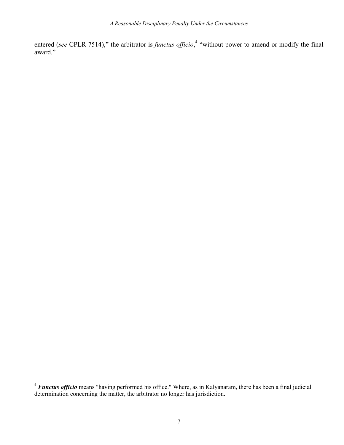entered (*see* CPLR 7514)," the arbitrator is *functus officio*,<sup>4</sup> "without power to amend or modify the final award."

<sup>&</sup>lt;sup>4</sup> **Functus officio** means "having performed his office." Where, as in Kalyanaram, there has been a final judicial determination concerning the matter, the arbitrator no longer has jurisdiction.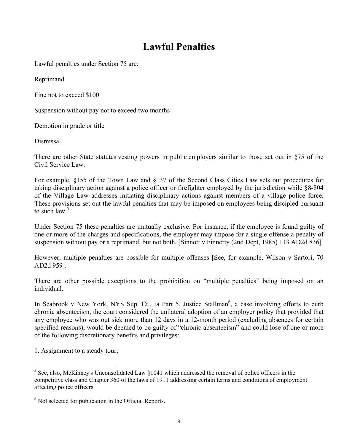#### **Lawful Penalties**

Lawful penalties under Section 75 are:

Reprimand

Fine not to exceed \$100

Suspension without pay not to exceed two months

Demotion in grade or title

Dismissal

There are other State statutes vesting powers in public employers similar to those set out in §75 of the Civil Service Law.

For example, §155 of the Town Law and §137 of the Second Class Cities Law sets out procedures for taking disciplinary action against a police officer or firefighter employed by the jurisdiction while §8-804 of the Village Law addresses initiating disciplinary actions against members of a village police force. These provisions set out the lawful penalties that may be imposed on employees being discipled pursuant to such law. $5$ 

Under Section 75 these penalties are mutually exclusive. For instance, if the employee is found guilty of one or more of the charges and specifications, the employer may impose for a single offense a penalty of suspension without pay or a reprimand, but not both. [Sinnott v Finnerty (2nd Dept, 1985) 113 AD2d 836]

However, multiple penalties are possible for multiple offenses [See, for example, Wilson v Sartori, 70 AD2d 959].

There are other possible exceptions to the prohibition on "multiple penalties" being imposed on an individual.

In Seabrook v New York, NYS Sup. Ct., Ia Part 5, Justice Stallman<sup>6</sup>, a case involving efforts to curb chronic absenteeism, the court considered the unilateral adoption of an employer policy that provided that any employee who was out sick more than 12 days in a 12-month period (excluding absences for certain specified reasons), would be deemed to be guilty of "chronic absenteeism" and could lose of one or more of the following discretionary benefits and privileges:

1. Assignment to a steady tour;

 $\overline{a}$  $<sup>5</sup>$  See, also, McKinney's Unconsolidated Law  $§1041$  which addressed the removal of police officers in the</sup> competitive class and Chapter 360 of the laws of 1911 addressing certain terms and conditions of employment affecting police officers.

<sup>&</sup>lt;sup>6</sup> Not selected for publication in the Official Reports.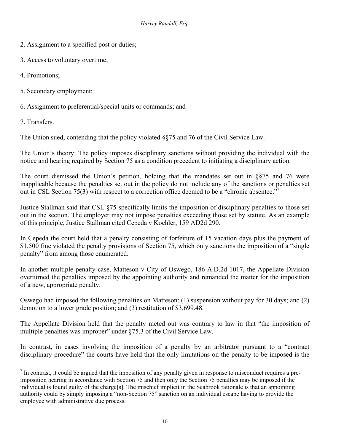- 2. Assignment to a specified post or duties;
- 3. Access to voluntary overtime;
- 4. Promotions;
- 5. Secondary employment;
- 6. Assignment to preferential/special units or commands; and

7. Transfers.

The Union sued, contending that the policy violated §§75 and 76 of the Civil Service Law.

The Union's theory: The policy imposes disciplinary sanctions without providing the individual with the notice and hearing required by Section 75 as a condition precedent to initiating a disciplinary action.

The court dismissed the Union's petition, holding that the mandates set out in §§75 and 76 were inapplicable because the penalties set out in the policy do not include any of the sanctions or penalties set out in CSL Section 75(3) with respect to a correction office deemed to be a "chronic absentee."

Justice Stallman said that CSL §75 specifically limits the imposition of disciplinary penalties to those set out in the section. The employer may not impose penalties exceeding those set by statute. As an example of this principle, Justice Stallman cited Cepeda v Koehler, 159 AD2d 290.

In Cepeda the court held that a penalty consisting of forfeiture of 15 vacation days plus the payment of \$1,500 fine violated the penalty provisions of Section 75, which only sanctions the imposition of a "single" penalty" from among those enumerated.

In another multiple penalty case, Matteson v City of Oswego, 186 A.D.2d 1017, the Appellate Division overturned the penalties imposed by the appointing authority and remanded the matter for the imposition of a new, appropriate penalty.

Oswego had imposed the following penalties on Matteson: (1) suspension without pay for 30 days; and (2) demotion to a lower grade position; and (3) restitution of \$3,699.48.

The Appellate Division held that the penalty meted out was contrary to law in that "the imposition of multiple penalties was improper" under §75.3 of the Civil Service Law.

In contrast, in cases involving the imposition of a penalty by an arbitrator pursuant to a "contract" disciplinary procedure" the courts have held that the only limitations on the penalty to be imposed is the

<sup>&</sup>lt;u>.</u>  $<sup>7</sup>$  In contrast, it could be argued that the imposition of any penalty given in response to misconduct requires a pre-</sup> imposition hearing in accordance with Section 75 and then only the Section 75 penalties may be imposed if the individual is found guilty of the charge[s]. The mischief implicit in the Seabrook rationale is that an appointing authority could by simply imposing a "non-Section 75" sanction on an individual escape having to provide the employee with administrative due process.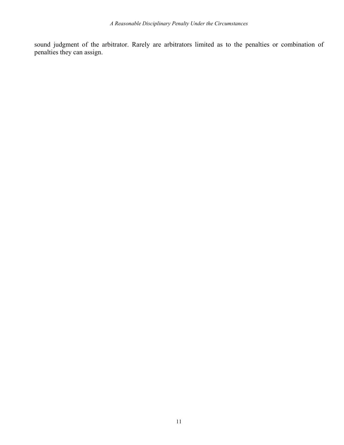sound judgment of the arbitrator. Rarely are arbitrators limited as to the penalties or combination of penalties they can assign.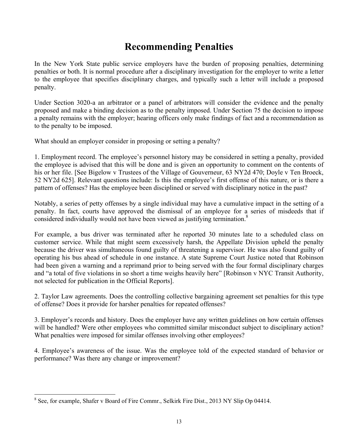#### **Recommending Penalties**

In the New York State public service employers have the burden of proposing penalties, determining penalties or both. It is normal procedure after a disciplinary investigation for the employer to write a letter to the employee that specifies disciplinary charges, and typically such a letter will include a proposed penalty.

Under Section 3020-a an arbitrator or a panel of arbitrators will consider the evidence and the penalty proposed and make a binding decision as to the penalty imposed. Under Section 75 the decision to impose a penalty remains with the employer; hearing officers only make findings of fact and a recommendation as to the penalty to be imposed.

What should an employer consider in proposing or setting a penalty?

1. Employment record. The employee's personnel history may be considered in setting a penalty, provided the employee is advised that this will be done and is given an opportunity to comment on the contents of his or her file. [See Bigelow v Trustees of the Village of Gouverneur, 63 NY2d 470; Doyle v Ten Broeck, 52 NY2d 625]. Relevant questions include: Is this the employee's first offense of this nature, or is there a pattern of offenses? Has the employee been disciplined or served with disciplinary notice in the past?

Notably, a series of petty offenses by a single individual may have a cumulative impact in the setting of a penalty. In fact, courts have approved the dismissal of an employee for a series of misdeeds that if considered individually would not have been viewed as justifying termination.<sup>8</sup>

For example, a bus driver was terminated after he reported 30 minutes late to a scheduled class on customer service. While that might seem excessively harsh, the Appellate Division upheld the penalty because the driver was simultaneous found guilty of threatening a supervisor. He was also found guilty of operating his bus ahead of schedule in one instance. A state Supreme Court Justice noted that Robinson had been given a warning and a reprimand prior to being served with the four formal disciplinary charges and "a total of five violations in so short a time weighs heavily here" [Robinson v NYC Transit Authority, not selected for publication in the Official Reports].

2. Taylor Law agreements. Does the controlling collective bargaining agreement set penalties for this type of offense? Does it provide for harsher penalties for repeated offenses?

3. Employer's records and history. Does the employer have any written guidelines on how certain offenses will be handled? Were other employees who committed similar misconduct subject to disciplinary action? What penalties were imposed for similar offenses involving other employees?

4. Employee's awareness of the issue. Was the employee told of the expected standard of behavior or performance? Was there any change or improvement?

<sup>&</sup>lt;sup>8</sup> See, for example, Shafer v Board of Fire Commr., Selkirk Fire Dist., 2013 NY Slip Op 04414.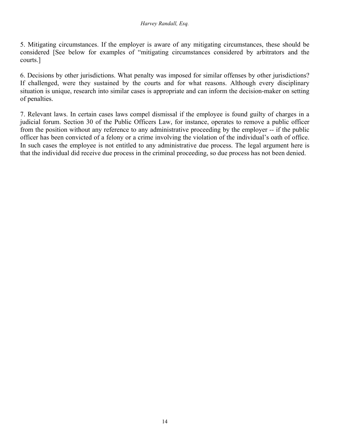5. Mitigating circumstances. If the employer is aware of any mitigating circumstances, these should be considered [See below for examples of "mitigating circumstances considered by arbitrators and the courts.]

6. Decisions by other jurisdictions. What penalty was imposed for similar offenses by other jurisdictions? If challenged, were they sustained by the courts and for what reasons. Although every disciplinary situation is unique, research into similar cases is appropriate and can inform the decision-maker on setting of penalties.

7. Relevant laws. In certain cases laws compel dismissal if the employee is found guilty of charges in a judicial forum. Section 30 of the Public Officers Law, for instance, operates to remove a public officer from the position without any reference to any administrative proceeding by the employer -- if the public officer has been convicted of a felony or a crime involving the violation of the individual's oath of office. In such cases the employee is not entitled to any administrative due process. The legal argument here is that the individual did receive due process in the criminal proceeding, so due process has not been denied.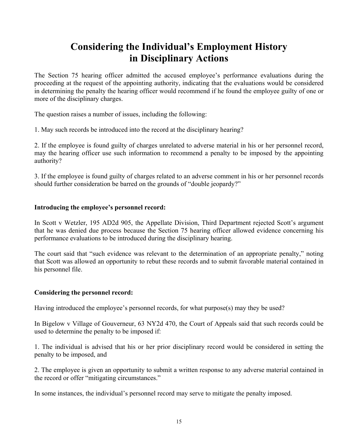#### **Considering the Individual's Employment History in Disciplinary Actions**

The Section 75 hearing officer admitted the accused employee's performance evaluations during the proceeding at the request of the appointing authority, indicating that the evaluations would be considered in determining the penalty the hearing officer would recommend if he found the employee guilty of one or more of the disciplinary charges.

The question raises a number of issues, including the following:

1. May such records be introduced into the record at the disciplinary hearing?

2. If the employee is found guilty of charges unrelated to adverse material in his or her personnel record, may the hearing officer use such information to recommend a penalty to be imposed by the appointing authority?

3. If the employee is found guilty of charges related to an adverse comment in his or her personnel records should further consideration be barred on the grounds of "double jeopardy?"

#### **Introducing the employee's personnel record:**

In Scott v Wetzler, 195 AD2d 905, the Appellate Division, Third Department rejected Scott's argument that he was denied due process because the Section 75 hearing officer allowed evidence concerning his performance evaluations to be introduced during the disciplinary hearing.

The court said that "such evidence was relevant to the determination of an appropriate penalty," noting that Scott was allowed an opportunity to rebut these records and to submit favorable material contained in his personnel file.

#### **Considering the personnel record:**

Having introduced the employee's personnel records, for what purpose(s) may they be used?

In Bigelow v Village of Gouverneur, 63 NY2d 470, the Court of Appeals said that such records could be used to determine the penalty to be imposed if:

1. The individual is advised that his or her prior disciplinary record would be considered in setting the penalty to be imposed, and

2. The employee is given an opportunity to submit a written response to any adverse material contained in the record or offer "mitigating circumstances."

In some instances, the individual's personnel record may serve to mitigate the penalty imposed.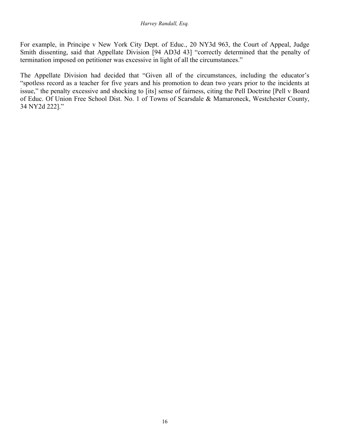For example, in Principe v New York City Dept. of Educ., 20 NY3d 963, the Court of Appeal, Judge Smith dissenting, said that Appellate Division [94 AD3d 43] "correctly determined that the penalty of termination imposed on petitioner was excessive in light of all the circumstances."

The Appellate Division had decided that "Given all of the circumstances, including the educator's "spotless record as a teacher for five years and his promotion to dean two years prior to the incidents at issue," the penalty excessive and shocking to [its] sense of fairness, citing the Pell Doctrine [Pell v Board of Educ. Of Union Free School Dist. No. 1 of Towns of Scarsdale & Mamaroneck, Westchester County, 34 NY2d 222]."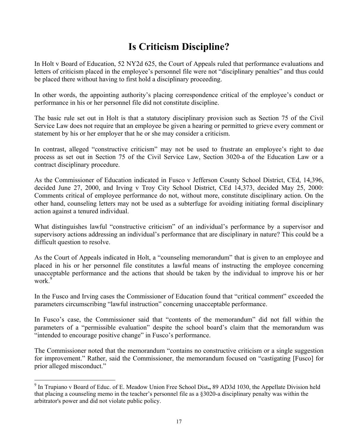## **Is Criticism Discipline?**

In Holt v Board of Education, 52 NY2d 625, the Court of Appeals ruled that performance evaluations and letters of criticism placed in the employee's personnel file were not "disciplinary penalties" and thus could be placed there without having to first hold a disciplinary proceeding.

In other words, the appointing authority's placing correspondence critical of the employee's conduct or performance in his or her personnel file did not constitute discipline.

The basic rule set out in Holt is that a statutory disciplinary provision such as Section 75 of the Civil Service Law does not require that an employee be given a hearing or permitted to grieve every comment or statement by his or her employer that he or she may consider a criticism.

In contrast, alleged "constructive criticism" may not be used to frustrate an employee's right to due process as set out in Section 75 of the Civil Service Law, Section 3020-a of the Education Law or a contract disciplinary procedure.

As the Commissioner of Education indicated in Fusco v Jefferson County School District, CEd, 14,396, decided June 27, 2000, and Irving v Troy City School District, CEd 14,373, decided May 25, 2000: Comments critical of employee performance do not, without more, constitute disciplinary action. On the other hand, counseling letters may not be used as a subterfuge for avoiding initiating formal disciplinary action against a tenured individual.

What distinguishes lawful "constructive criticism" of an individual's performance by a supervisor and supervisory actions addressing an individual's performance that are disciplinary in nature? This could be a difficult question to resolve.

As the Court of Appeals indicated in Holt, a "counseling memorandum" that is given to an employee and placed in his or her personnel file constitutes a lawful means of instructing the employee concerning unacceptable performance and the actions that should be taken by the individual to improve his or her work<sup>9</sup>

In the Fusco and Irving cases the Commissioner of Education found that "critical comment" exceeded the parameters circumscribing "lawful instruction" concerning unacceptable performance.

In Fusco's case, the Commissioner said that "contents of the memorandum" did not fall within the parameters of a "permissible evaluation" despite the school board's claim that the memorandum was "intended to encourage positive change" in Fusco's performance.

The Commissioner noted that the memorandum "contains no constructive criticism or a single suggestion for improvement." Rather, said the Commissioner, the memorandum focused on "castigating [Fusco] for prior alleged misconduct."

<sup>9</sup> In Trupiano v Board of Educ. of E. Meadow Union Free School Dist**.,** 89 AD3d 1030, the Appellate Division held that placing a counseling memo in the teacher's personnel file as a §3020-a disciplinary penalty was within the arbitrator's power and did not violate public policy.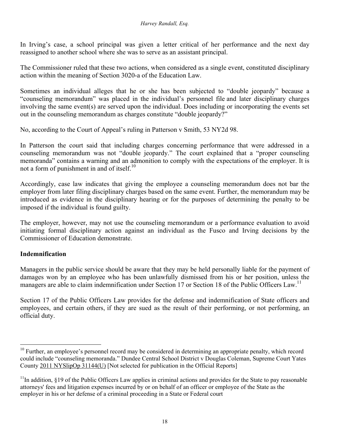In Irving's case, a school principal was given a letter critical of her performance and the next day reassigned to another school where she was to serve as an assistant principal.

The Commissioner ruled that these two actions, when considered as a single event, constituted disciplinary action within the meaning of Section 3020-a of the Education Law.

Sometimes an individual alleges that he or she has been subjected to "double jeopardy" because a "counseling memorandum" was placed in the individual's personnel file and later disciplinary charges involving the same event(s) are served upon the individual. Does including or incorporating the events set out in the counseling memorandum as charges constitute "double jeopardy?"

No, according to the Court of Appeal's ruling in Patterson v Smith, 53 NY2d 98.

In Patterson the court said that including charges concerning performance that were addressed in a counseling memorandum was not "double jeopardy." The court explained that a "proper counseling memoranda" contains a warning and an admonition to comply with the expectations of the employer. It is not a form of punishment in and of itself. $10$ 

Accordingly, case law indicates that giving the employee a counseling memorandum does not bar the employer from later filing disciplinary charges based on the same event. Further, the memorandum may be introduced as evidence in the disciplinary hearing or for the purposes of determining the penalty to be imposed if the individual is found guilty.

The employer, however, may not use the counseling memorandum or a performance evaluation to avoid initiating formal disciplinary action against an individual as the Fusco and Irving decisions by the Commissioner of Education demonstrate.

#### **Indemnification**

 $\overline{a}$ 

Managers in the public service should be aware that they may be held personally liable for the payment of damages won by an employee who has been unlawfully dismissed from his or her position, unless the managers are able to claim indemnification under Section 17 or Section 18 of the Public Officers Law.<sup>11</sup>

Section 17 of the Public Officers Law provides for the defense and indemnification of State officers and employees, and certain others, if they are sued as the result of their performing, or not performing, an official duty.

<sup>&</sup>lt;sup>10</sup> Further, an employee's personnel record may be considered in determining an appropriate penalty, which record could include "counseling memoranda." Dundee Central School District v Douglas Coleman, Supreme Court Yates County 2011 NYSlipOp 31144(U) [Not selected for publication in the Official Reports]

 $11$ In addition, §19 of the Public Officers Law applies in criminal actions and provides for the State to pay reasonable attorneys' fees and litigation expenses incurred by or on behalf of an officer or employee of the State as the employer in his or her defense of a criminal proceeding in a State or Federal court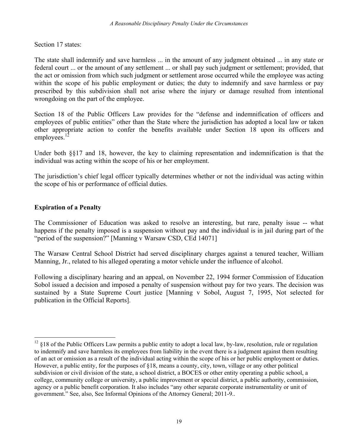Section 17 states:

The state shall indemnify and save harmless ... in the amount of any judgment obtained ... in any state or federal court ... or the amount of any settlement ... or shall pay such judgment or settlement; provided, that the act or omission from which such judgment or settlement arose occurred while the employee was acting within the scope of his public employment or duties; the duty to indemnify and save harmless or pay prescribed by this subdivision shall not arise where the injury or damage resulted from intentional wrongdoing on the part of the employee.

Section 18 of the Public Officers Law provides for the "defense and indemnification of officers and employees of public entities" other than the State where the jurisdiction has adopted a local law or taken other appropriate action to confer the benefits available under Section 18 upon its officers and employees. $12$ 

Under both §§17 and 18, however, the key to claiming representation and indemnification is that the individual was acting within the scope of his or her employment.

The jurisdiction's chief legal officer typically determines whether or not the individual was acting within the scope of his or performance of official duties.

#### **Expiration of a Penalty**

 $\overline{a}$ 

The Commissioner of Education was asked to resolve an interesting, but rare, penalty issue -- what happens if the penalty imposed is a suspension without pay and the individual is in jail during part of the "period of the suspension?" [Manning v Warsaw CSD, CEd 14071]

The Warsaw Central School District had served disciplinary charges against a tenured teacher, William Manning, Jr., related to his alleged operating a motor vehicle under the influence of alcohol.

Following a disciplinary hearing and an appeal, on November 22, 1994 former Commission of Education Sobol issued a decision and imposed a penalty of suspension without pay for two years. The decision was sustained by a State Supreme Court justice [Manning v Sobol, August 7, 1995, Not selected for publication in the Official Reports].

 $12 \text{ }\$18$  of the Public Officers Law permits a public entity to adopt a local law, by-law, resolution, rule or regulation to indemnify and save harmless its employees from liability in the event there is a judgment against them resulting of an act or omission as a result of the individual acting within the scope of his or her public employment or duties. However, a public entity, for the purposes of §18, means a county, city, town, village or any other political subdivision or civil division of the state, a school district, a BOCES or other entity operating a public school, a college, community college or university, a public improvement or special district, a public authority, commission, agency or a public benefit corporation. It also includes "any other separate corporate instrumentality or unit of government." See, also, See Informal Opinions of the Attorney General; 2011-9..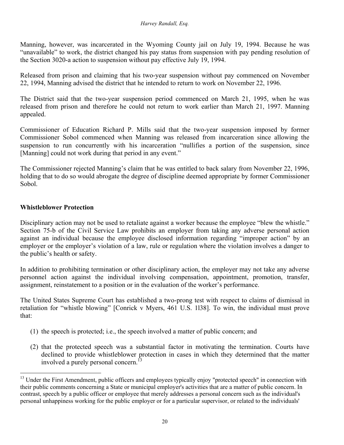Manning, however, was incarcerated in the Wyoming County jail on July 19, 1994. Because he was "unavailable" to work, the district changed his pay status from suspension with pay pending resolution of the Section 3020-a action to suspension without pay effective July 19, 1994.

Released from prison and claiming that his two-year suspension without pay commenced on November 22, 1994, Manning advised the district that he intended to return to work on November 22, 1996.

The District said that the two-year suspension period commenced on March 21, 1995, when he was released from prison and therefore he could not return to work earlier than March 21, 1997. Manning appealed.

Commissioner of Education Richard P. Mills said that the two-year suspension imposed by former Commissioner Sobol commenced when Manning was released from incarceration since allowing the suspension to run concurrently with his incarceration "nullifies a portion of the suspension, since [Manning] could not work during that period in any event."

The Commissioner rejected Manning's claim that he was entitled to back salary from November 22, 1996, holding that to do so would abrogate the degree of discipline deemed appropriate by former Commissioner Sobol.

#### **Whistleblower Protection**

 $\overline{a}$ 

Disciplinary action may not be used to retaliate against a worker because the employee "blew the whistle." Section 75-b of the Civil Service Law prohibits an employer from taking any adverse personal action against an individual because the employee disclosed information regarding "improper action" by an employer or the employer's violation of a law, rule or regulation where the violation involves a danger to the public's health or safety.

In addition to prohibiting termination or other disciplinary action, the employer may not take any adverse personnel action against the individual involving compensation, appointment, promotion, transfer, assignment, reinstatement to a position or in the evaluation of the worker's performance.

The United States Supreme Court has established a two-prong test with respect to claims of dismissal in retaliation for "whistle blowing" [Conrick v Myers, 461 U.S. 1l38]. To win, the individual must prove that:

- (1) the speech is protected; i.e., the speech involved a matter of public concern; and
- (2) that the protected speech was a substantial factor in motivating the termination. Courts have declined to provide whistleblower protection in cases in which they determined that the matter involved a purely personal concern.<sup>1</sup>

<sup>&</sup>lt;sup>13</sup> Under the First Amendment, public officers and employees typically enjoy "protected speech" in connection with their public comments concerning a State or municipal employer's activities that are a matter of public concern. In contrast, speech by a public officer or employee that merely addresses a personal concern such as the individual's personal unhappiness working for the public employer or for a particular supervisor, or related to the individuals'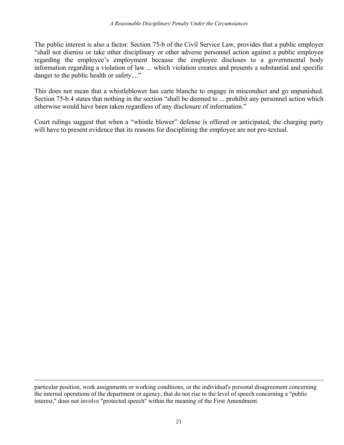The public interest is also a factor. Section 75-b of the Civil Service Law, provides that a public employer "shall not dismiss or take other disciplinary or other adverse personnel action against a public employee regarding the employee's employment because the employee discloses to a governmental body information regarding a violation of law ... which violation creates and presents a substantial and specific danger to the public health or safety...."

This does not mean that a whistleblower has carte blanche to engage in misconduct and go unpunished. Section 75-b.4 states that nothing in the section "shall be deemed to ... prohibit any personnel action which otherwise would have been taken regardless of any disclosure of information."

Court rulings suggest that when a "whistle blower" defense is offered or anticipated, the charging party will have to present evidence that its reasons for disciplining the employee are not pre-textual.

particular position, work assignments or working conditions, or the individual's personal disagreement concerning the internal operations of the department or agency, that do not rise to the level of speech concerning a "public interest," does not involve "protected speech" within the meaning of the First Amendment.